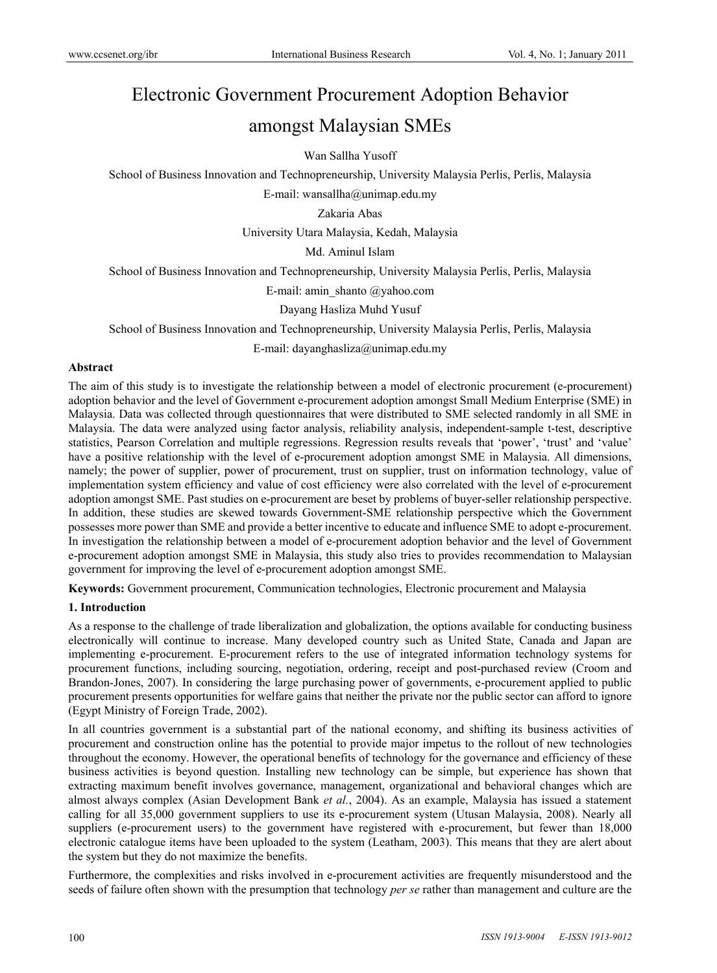# Electronic Government Procurement Adoption Behavior amongst Malaysian SMEs

#### Wan Sallha Yusoff

School of Business Innovation and Technopreneurship, University Malaysia Perlis, Perlis, Malaysia

E-mail: wansallha@unimap.edu.my

Zakaria Abas

University Utara Malaysia, Kedah, Malaysia

Md. Aminul Islam

School of Business Innovation and Technopreneurship, University Malaysia Perlis, Perlis, Malaysia

E-mail: amin\_shanto @yahoo.com

Dayang Hasliza Muhd Yusuf

School of Business Innovation and Technopreneurship, University Malaysia Perlis, Perlis, Malaysia

E-mail: dayanghasliza@unimap.edu.my

#### **Abstract**

The aim of this study is to investigate the relationship between a model of electronic procurement (e-procurement) adoption behavior and the level of Government e-procurement adoption amongst Small Medium Enterprise (SME) in Malaysia. Data was collected through questionnaires that were distributed to SME selected randomly in all SME in Malaysia. The data were analyzed using factor analysis, reliability analysis, independent-sample t-test, descriptive statistics, Pearson Correlation and multiple regressions. Regression results reveals that 'power', 'trust' and 'value' have a positive relationship with the level of e-procurement adoption amongst SME in Malaysia. All dimensions, namely; the power of supplier, power of procurement, trust on supplier, trust on information technology, value of implementation system efficiency and value of cost efficiency were also correlated with the level of e-procurement adoption amongst SME. Past studies on e-procurement are beset by problems of buyer-seller relationship perspective. In addition, these studies are skewed towards Government-SME relationship perspective which the Government possesses more power than SME and provide a better incentive to educate and influence SME to adopt e-procurement. In investigation the relationship between a model of e-procurement adoption behavior and the level of Government e-procurement adoption amongst SME in Malaysia, this study also tries to provides recommendation to Malaysian government for improving the level of e-procurement adoption amongst SME.

**Keywords:** Government procurement, Communication technologies, Electronic procurement and Malaysia

#### **1. Introduction**

As a response to the challenge of trade liberalization and globalization, the options available for conducting business electronically will continue to increase. Many developed country such as United State, Canada and Japan are implementing e-procurement. E-procurement refers to the use of integrated information technology systems for procurement functions, including sourcing, negotiation, ordering, receipt and post-purchased review (Croom and Brandon-Jones, 2007). In considering the large purchasing power of governments, e-procurement applied to public procurement presents opportunities for welfare gains that neither the private nor the public sector can afford to ignore (Egypt Ministry of Foreign Trade, 2002).

In all countries government is a substantial part of the national economy, and shifting its business activities of procurement and construction online has the potential to provide major impetus to the rollout of new technologies throughout the economy. However, the operational benefits of technology for the governance and efficiency of these business activities is beyond question. Installing new technology can be simple, but experience has shown that extracting maximum benefit involves governance, management, organizational and behavioral changes which are almost always complex (Asian Development Bank *et al.*, 2004). As an example, Malaysia has issued a statement calling for all 35,000 government suppliers to use its e-procurement system (Utusan Malaysia, 2008). Nearly all suppliers (e-procurement users) to the government have registered with e-procurement, but fewer than 18,000 electronic catalogue items have been uploaded to the system (Leatham, 2003). This means that they are alert about the system but they do not maximize the benefits.

Furthermore, the complexities and risks involved in e-procurement activities are frequently misunderstood and the seeds of failure often shown with the presumption that technology *per se* rather than management and culture are the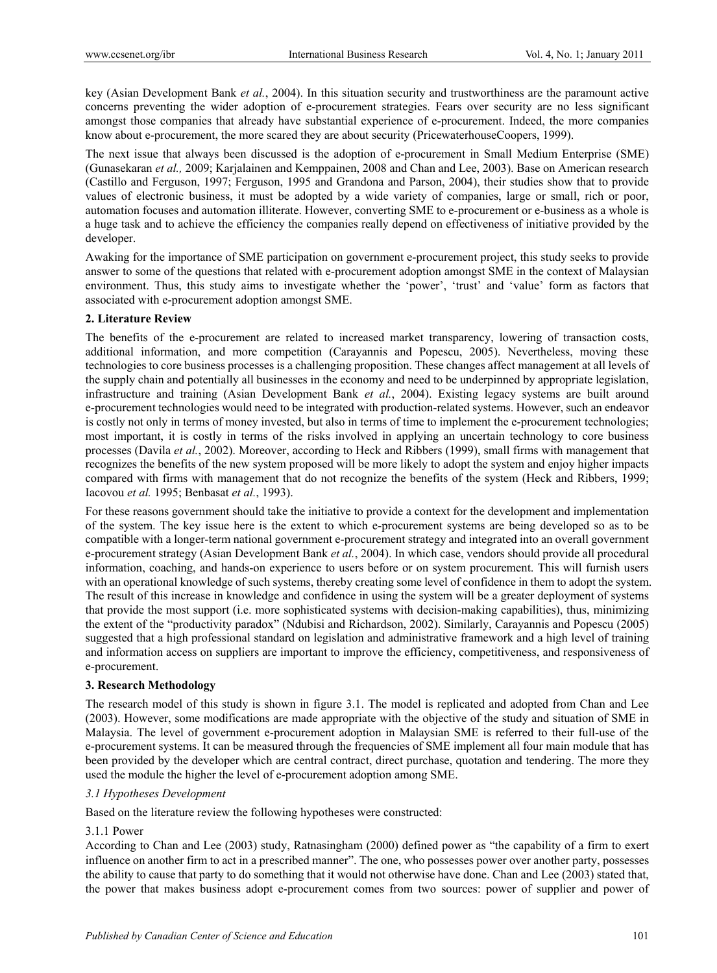key (Asian Development Bank *et al.*, 2004). In this situation security and trustworthiness are the paramount active concerns preventing the wider adoption of e-procurement strategies. Fears over security are no less significant amongst those companies that already have substantial experience of e-procurement. Indeed, the more companies know about e-procurement, the more scared they are about security (PricewaterhouseCoopers, 1999).

The next issue that always been discussed is the adoption of e-procurement in Small Medium Enterprise (SME) (Gunasekaran *et al.,* 2009; Karjalainen and Kemppainen, 2008 and Chan and Lee, 2003). Base on American research (Castillo and Ferguson, 1997; Ferguson, 1995 and Grandona and Parson, 2004), their studies show that to provide values of electronic business, it must be adopted by a wide variety of companies, large or small, rich or poor, automation focuses and automation illiterate. However, converting SME to e-procurement or e-business as a whole is a huge task and to achieve the efficiency the companies really depend on effectiveness of initiative provided by the developer.

Awaking for the importance of SME participation on government e-procurement project, this study seeks to provide answer to some of the questions that related with e-procurement adoption amongst SME in the context of Malaysian environment. Thus, this study aims to investigate whether the 'power', 'trust' and 'value' form as factors that associated with e-procurement adoption amongst SME.

#### **2. Literature Review**

The benefits of the e-procurement are related to increased market transparency, lowering of transaction costs, additional information, and more competition (Carayannis and Popescu, 2005). Nevertheless, moving these technologies to core business processes is a challenging proposition. These changes affect management at all levels of the supply chain and potentially all businesses in the economy and need to be underpinned by appropriate legislation, infrastructure and training (Asian Development Bank *et al.*, 2004). Existing legacy systems are built around e-procurement technologies would need to be integrated with production-related systems. However, such an endeavor is costly not only in terms of money invested, but also in terms of time to implement the e-procurement technologies; most important, it is costly in terms of the risks involved in applying an uncertain technology to core business processes (Davila *et al.*, 2002). Moreover, according to Heck and Ribbers (1999), small firms with management that recognizes the benefits of the new system proposed will be more likely to adopt the system and enjoy higher impacts compared with firms with management that do not recognize the benefits of the system (Heck and Ribbers, 1999; Iacovou *et al.* 1995; Benbasat *et al.*, 1993).

For these reasons government should take the initiative to provide a context for the development and implementation of the system. The key issue here is the extent to which e-procurement systems are being developed so as to be compatible with a longer-term national government e-procurement strategy and integrated into an overall government e-procurement strategy (Asian Development Bank *et al.*, 2004). In which case, vendors should provide all procedural information, coaching, and hands-on experience to users before or on system procurement. This will furnish users with an operational knowledge of such systems, thereby creating some level of confidence in them to adopt the system. The result of this increase in knowledge and confidence in using the system will be a greater deployment of systems that provide the most support (i.e. more sophisticated systems with decision-making capabilities), thus, minimizing the extent of the "productivity paradox" (Ndubisi and Richardson, 2002). Similarly, Carayannis and Popescu (2005) suggested that a high professional standard on legislation and administrative framework and a high level of training and information access on suppliers are important to improve the efficiency, competitiveness, and responsiveness of e-procurement.

## **3. Research Methodology**

The research model of this study is shown in figure 3.1. The model is replicated and adopted from Chan and Lee (2003). However, some modifications are made appropriate with the objective of the study and situation of SME in Malaysia. The level of government e-procurement adoption in Malaysian SME is referred to their full-use of the e-procurement systems. It can be measured through the frequencies of SME implement all four main module that has been provided by the developer which are central contract, direct purchase, quotation and tendering. The more they used the module the higher the level of e-procurement adoption among SME.

#### *3.1 Hypotheses Development*

Based on the literature review the following hypotheses were constructed:

#### 3.1.1 Power

According to Chan and Lee (2003) study, Ratnasingham (2000) defined power as "the capability of a firm to exert influence on another firm to act in a prescribed manner". The one, who possesses power over another party, possesses the ability to cause that party to do something that it would not otherwise have done. Chan and Lee (2003) stated that, the power that makes business adopt e-procurement comes from two sources: power of supplier and power of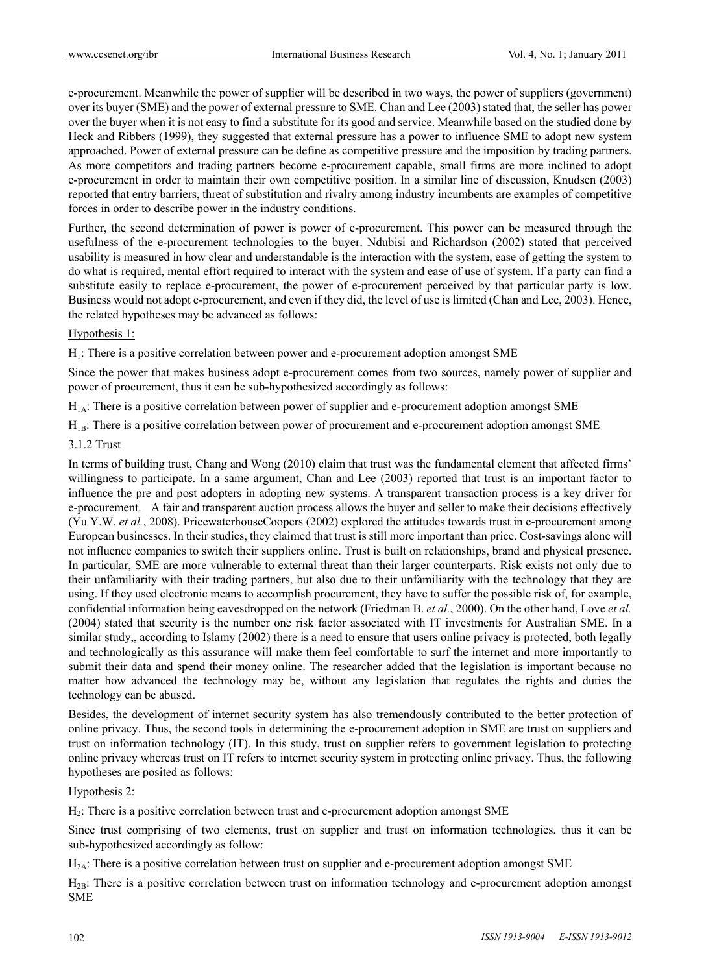e-procurement. Meanwhile the power of supplier will be described in two ways, the power of suppliers (government) over its buyer (SME) and the power of external pressure to SME. Chan and Lee (2003) stated that, the seller has power over the buyer when it is not easy to find a substitute for its good and service. Meanwhile based on the studied done by Heck and Ribbers (1999), they suggested that external pressure has a power to influence SME to adopt new system approached. Power of external pressure can be define as competitive pressure and the imposition by trading partners. As more competitors and trading partners become e-procurement capable, small firms are more inclined to adopt e-procurement in order to maintain their own competitive position. In a similar line of discussion, Knudsen (2003) reported that entry barriers, threat of substitution and rivalry among industry incumbents are examples of competitive forces in order to describe power in the industry conditions.

Further, the second determination of power is power of e-procurement. This power can be measured through the usefulness of the e-procurement technologies to the buyer. Ndubisi and Richardson (2002) stated that perceived usability is measured in how clear and understandable is the interaction with the system, ease of getting the system to do what is required, mental effort required to interact with the system and ease of use of system. If a party can find a substitute easily to replace e-procurement, the power of e-procurement perceived by that particular party is low. Business would not adopt e-procurement, and even if they did, the level of use is limited (Chan and Lee, 2003). Hence, the related hypotheses may be advanced as follows:

#### Hypothesis 1:

H1: There is a positive correlation between power and e-procurement adoption amongst SME

Since the power that makes business adopt e-procurement comes from two sources, namely power of supplier and power of procurement, thus it can be sub-hypothesized accordingly as follows:

 $H_{1A}$ : There is a positive correlation between power of supplier and e-procurement adoption amongst SME

H1B: There is a positive correlation between power of procurement and e-procurement adoption amongst SME

#### 3.1.2 Trust

In terms of building trust, Chang and Wong (2010) claim that trust was the fundamental element that affected firms' willingness to participate. In a same argument, Chan and Lee (2003) reported that trust is an important factor to influence the pre and post adopters in adopting new systems. A transparent transaction process is a key driver for e-procurement. A fair and transparent auction process allows the buyer and seller to make their decisions effectively (Yu Y.W. *et al.*, 2008). PricewaterhouseCoopers (2002) explored the attitudes towards trust in e-procurement among European businesses. In their studies, they claimed that trust is still more important than price. Cost-savings alone will not influence companies to switch their suppliers online. Trust is built on relationships, brand and physical presence. In particular, SME are more vulnerable to external threat than their larger counterparts. Risk exists not only due to their unfamiliarity with their trading partners, but also due to their unfamiliarity with the technology that they are using. If they used electronic means to accomplish procurement, they have to suffer the possible risk of, for example, confidential information being eavesdropped on the network (Friedman B. *et al.*, 2000). On the other hand, Love *et al.* (2004) stated that security is the number one risk factor associated with IT investments for Australian SME. In a similar study,, according to Islamy (2002) there is a need to ensure that users online privacy is protected, both legally and technologically as this assurance will make them feel comfortable to surf the internet and more importantly to submit their data and spend their money online. The researcher added that the legislation is important because no matter how advanced the technology may be, without any legislation that regulates the rights and duties the technology can be abused.

Besides, the development of internet security system has also tremendously contributed to the better protection of online privacy. Thus, the second tools in determining the e-procurement adoption in SME are trust on suppliers and trust on information technology (IT). In this study, trust on supplier refers to government legislation to protecting online privacy whereas trust on IT refers to internet security system in protecting online privacy. Thus, the following hypotheses are posited as follows:

## Hypothesis 2:

H2: There is a positive correlation between trust and e-procurement adoption amongst SME

Since trust comprising of two elements, trust on supplier and trust on information technologies, thus it can be sub-hypothesized accordingly as follow:

 $H_{2A}$ : There is a positive correlation between trust on supplier and e-procurement adoption amongst SME

H<sub>2B</sub>: There is a positive correlation between trust on information technology and e-procurement adoption amongst SME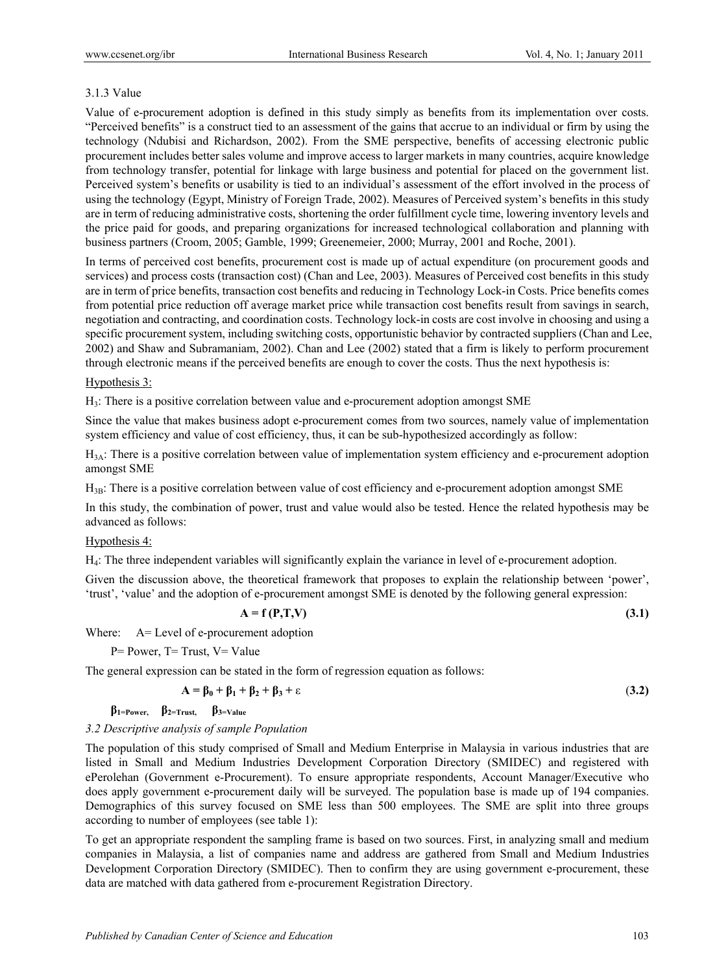#### 3.1.3 Value

Value of e-procurement adoption is defined in this study simply as benefits from its implementation over costs. "Perceived benefits" is a construct tied to an assessment of the gains that accrue to an individual or firm by using the technology (Ndubisi and Richardson, 2002). From the SME perspective, benefits of accessing electronic public procurement includes better sales volume and improve access to larger markets in many countries, acquire knowledge from technology transfer, potential for linkage with large business and potential for placed on the government list. Perceived system's benefits or usability is tied to an individual's assessment of the effort involved in the process of using the technology (Egypt, Ministry of Foreign Trade, 2002). Measures of Perceived system's benefits in this study are in term of reducing administrative costs, shortening the order fulfillment cycle time, lowering inventory levels and the price paid for goods, and preparing organizations for increased technological collaboration and planning with business partners (Croom, 2005; Gamble, 1999; Greenemeier, 2000; Murray, 2001 and Roche, 2001).

In terms of perceived cost benefits, procurement cost is made up of actual expenditure (on procurement goods and services) and process costs (transaction cost) (Chan and Lee, 2003). Measures of Perceived cost benefits in this study are in term of price benefits, transaction cost benefits and reducing in Technology Lock-in Costs. Price benefits comes from potential price reduction off average market price while transaction cost benefits result from savings in search, negotiation and contracting, and coordination costs. Technology lock-in costs are cost involve in choosing and using a specific procurement system, including switching costs, opportunistic behavior by contracted suppliers (Chan and Lee, 2002) and Shaw and Subramaniam, 2002). Chan and Lee (2002) stated that a firm is likely to perform procurement through electronic means if the perceived benefits are enough to cover the costs. Thus the next hypothesis is:

#### Hypothesis 3:

 $H_3$ : There is a positive correlation between value and e-procurement adoption amongst SME

Since the value that makes business adopt e-procurement comes from two sources, namely value of implementation system efficiency and value of cost efficiency, thus, it can be sub-hypothesized accordingly as follow:

 $H_{3A}$ : There is a positive correlation between value of implementation system efficiency and e-procurement adoption amongst SME

 $H_{3B}$ : There is a positive correlation between value of cost efficiency and e-procurement adoption amongst SME

In this study, the combination of power, trust and value would also be tested. Hence the related hypothesis may be advanced as follows:

#### Hypothesis 4:

H4: The three independent variables will significantly explain the variance in level of e-procurement adoption.

Given the discussion above, the theoretical framework that proposes to explain the relationship between 'power', 'trust', 'value' and the adoption of e-procurement amongst SME is denoted by the following general expression:

$$
A = f(P, T, V) \tag{3.1}
$$

Where: A= Level of e-procurement adoption

P= Power, T= Trust, V= Value

The general expression can be stated in the form of regression equation as follows:

$$
A = \beta_0 + \beta_1 + \beta_2 + \beta_3 + \epsilon \tag{3.2}
$$

# **β1=Power, β2=Trust, β3=Value**

#### *3.2 Descriptive analysis of sample Population*

The population of this study comprised of Small and Medium Enterprise in Malaysia in various industries that are listed in Small and Medium Industries Development Corporation Directory (SMIDEC) and registered with ePerolehan (Government e-Procurement). To ensure appropriate respondents, Account Manager/Executive who does apply government e-procurement daily will be surveyed. The population base is made up of 194 companies. Demographics of this survey focused on SME less than 500 employees. The SME are split into three groups according to number of employees (see table 1):

To get an appropriate respondent the sampling frame is based on two sources. First, in analyzing small and medium companies in Malaysia, a list of companies name and address are gathered from Small and Medium Industries Development Corporation Directory (SMIDEC). Then to confirm they are using government e-procurement, these data are matched with data gathered from e-procurement Registration Directory.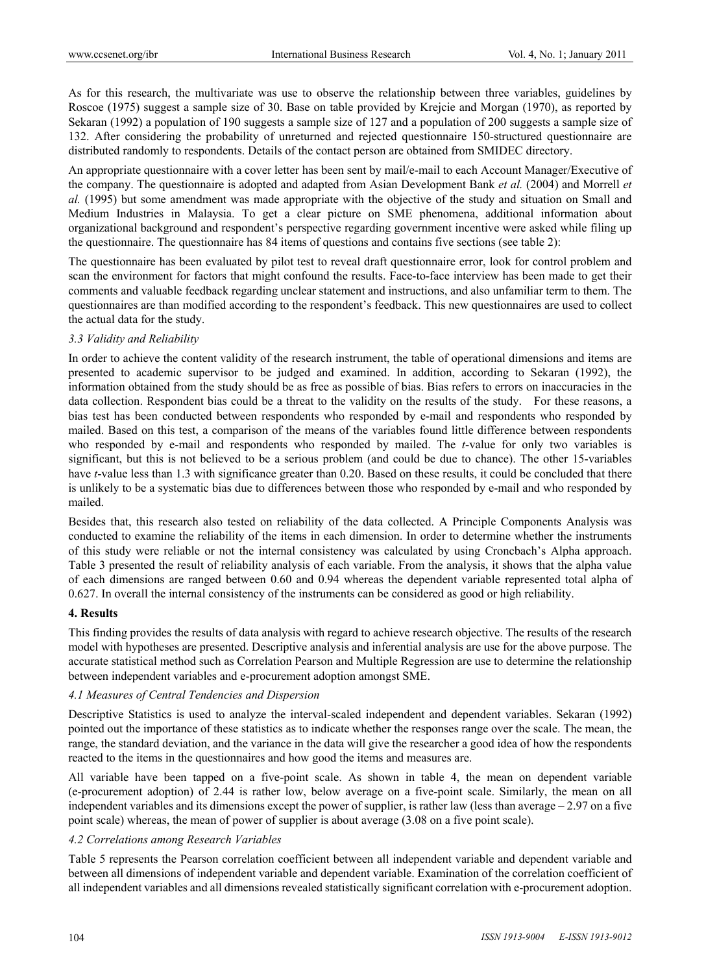As for this research, the multivariate was use to observe the relationship between three variables, guidelines by Roscoe (1975) suggest a sample size of 30. Base on table provided by Krejcie and Morgan (1970), as reported by Sekaran (1992) a population of 190 suggests a sample size of 127 and a population of 200 suggests a sample size of 132. After considering the probability of unreturned and rejected questionnaire 150-structured questionnaire are distributed randomly to respondents. Details of the contact person are obtained from SMIDEC directory.

An appropriate questionnaire with a cover letter has been sent by mail/e-mail to each Account Manager/Executive of the company. The questionnaire is adopted and adapted from Asian Development Bank *et al.* (2004) and Morrell *et al.* (1995) but some amendment was made appropriate with the objective of the study and situation on Small and Medium Industries in Malaysia. To get a clear picture on SME phenomena, additional information about organizational background and respondent's perspective regarding government incentive were asked while filing up the questionnaire. The questionnaire has 84 items of questions and contains five sections (see table 2):

The questionnaire has been evaluated by pilot test to reveal draft questionnaire error, look for control problem and scan the environment for factors that might confound the results. Face-to-face interview has been made to get their comments and valuable feedback regarding unclear statement and instructions, and also unfamiliar term to them. The questionnaires are than modified according to the respondent's feedback. This new questionnaires are used to collect the actual data for the study.

## *3.3 Validity and Reliability*

In order to achieve the content validity of the research instrument, the table of operational dimensions and items are presented to academic supervisor to be judged and examined. In addition, according to Sekaran (1992), the information obtained from the study should be as free as possible of bias. Bias refers to errors on inaccuracies in the data collection. Respondent bias could be a threat to the validity on the results of the study. For these reasons, a bias test has been conducted between respondents who responded by e-mail and respondents who responded by mailed. Based on this test, a comparison of the means of the variables found little difference between respondents who responded by e-mail and respondents who responded by mailed. The *t*-value for only two variables is significant, but this is not believed to be a serious problem (and could be due to chance). The other 15-variables have *t*-value less than 1.3 with significance greater than 0.20. Based on these results, it could be concluded that there is unlikely to be a systematic bias due to differences between those who responded by e-mail and who responded by mailed.

Besides that, this research also tested on reliability of the data collected. A Principle Components Analysis was conducted to examine the reliability of the items in each dimension. In order to determine whether the instruments of this study were reliable or not the internal consistency was calculated by using Croncbach's Alpha approach. Table 3 presented the result of reliability analysis of each variable. From the analysis, it shows that the alpha value of each dimensions are ranged between 0.60 and 0.94 whereas the dependent variable represented total alpha of 0.627. In overall the internal consistency of the instruments can be considered as good or high reliability.

#### **4. Results**

This finding provides the results of data analysis with regard to achieve research objective. The results of the research model with hypotheses are presented. Descriptive analysis and inferential analysis are use for the above purpose. The accurate statistical method such as Correlation Pearson and Multiple Regression are use to determine the relationship between independent variables and e-procurement adoption amongst SME.

#### *4.1 Measures of Central Tendencies and Dispersion*

Descriptive Statistics is used to analyze the interval-scaled independent and dependent variables. Sekaran (1992) pointed out the importance of these statistics as to indicate whether the responses range over the scale. The mean, the range, the standard deviation, and the variance in the data will give the researcher a good idea of how the respondents reacted to the items in the questionnaires and how good the items and measures are.

All variable have been tapped on a five-point scale. As shown in table 4, the mean on dependent variable (e-procurement adoption) of 2.44 is rather low, below average on a five-point scale. Similarly, the mean on all independent variables and its dimensions except the power of supplier, is rather law (less than average  $-2.97$  on a five point scale) whereas, the mean of power of supplier is about average (3.08 on a five point scale).

#### *4.2 Correlations among Research Variables*

Table 5 represents the Pearson correlation coefficient between all independent variable and dependent variable and between all dimensions of independent variable and dependent variable. Examination of the correlation coefficient of all independent variables and all dimensions revealed statistically significant correlation with e-procurement adoption.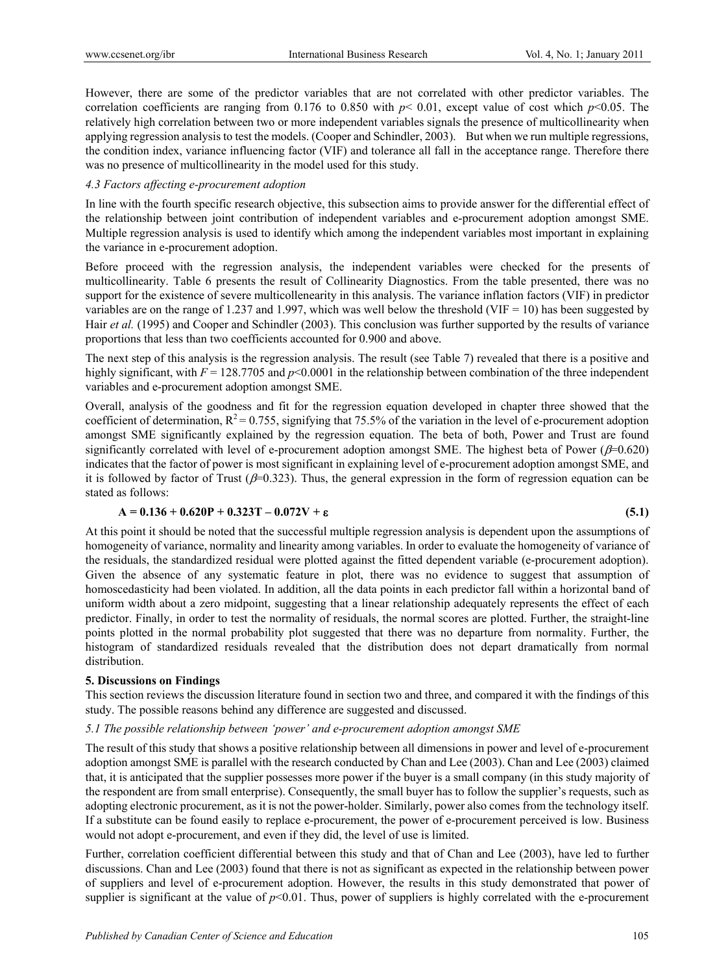However, there are some of the predictor variables that are not correlated with other predictor variables. The correlation coefficients are ranging from 0.176 to 0.850 with  $p$  < 0.01, except value of cost which  $p$  < 0.05. The relatively high correlation between two or more independent variables signals the presence of multicollinearity when applying regression analysis to test the models. (Cooper and Schindler, 2003). But when we run multiple regressions, the condition index, variance influencing factor (VIF) and tolerance all fall in the acceptance range. Therefore there was no presence of multicollinearity in the model used for this study.

## *4.3 Factors affecting e-procurement adoption*

In line with the fourth specific research objective, this subsection aims to provide answer for the differential effect of the relationship between joint contribution of independent variables and e-procurement adoption amongst SME. Multiple regression analysis is used to identify which among the independent variables most important in explaining the variance in e-procurement adoption.

Before proceed with the regression analysis, the independent variables were checked for the presents of multicollinearity. Table 6 presents the result of Collinearity Diagnostics. From the table presented, there was no support for the existence of severe multicollenearity in this analysis. The variance inflation factors (VIF) in predictor variables are on the range of 1.237 and 1.997, which was well below the threshold (VIF = 10) has been suggested by Hair *et al.* (1995) and Cooper and Schindler (2003). This conclusion was further supported by the results of variance proportions that less than two coefficients accounted for 0.900 and above.

The next step of this analysis is the regression analysis. The result (see Table 7) revealed that there is a positive and highly significant, with  $F = 128.7705$  and  $p < 0.0001$  in the relationship between combination of the three independent variables and e-procurement adoption amongst SME.

Overall, analysis of the goodness and fit for the regression equation developed in chapter three showed that the coefficient of determination,  $R^2 = 0.755$ , signifying that 75.5% of the variation in the level of e-procurement adoption amongst SME significantly explained by the regression equation. The beta of both, Power and Trust are found significantly correlated with level of e-procurement adoption amongst SME. The highest beta of Power ( $\beta$ =0.620) indicates that the factor of power is most significant in explaining level of e-procurement adoption amongst SME, and it is followed by factor of Trust ( $\beta$ =0.323). Thus, the general expression in the form of regression equation can be stated as follows:

$$
A = 0.136 + 0.620P + 0.323T - 0.072V + \varepsilon
$$
\n(5.1)

At this point it should be noted that the successful multiple regression analysis is dependent upon the assumptions of homogeneity of variance, normality and linearity among variables. In order to evaluate the homogeneity of variance of the residuals, the standardized residual were plotted against the fitted dependent variable (e-procurement adoption). Given the absence of any systematic feature in plot, there was no evidence to suggest that assumption of homoscedasticity had been violated. In addition, all the data points in each predictor fall within a horizontal band of uniform width about a zero midpoint, suggesting that a linear relationship adequately represents the effect of each predictor. Finally, in order to test the normality of residuals, the normal scores are plotted. Further, the straight-line points plotted in the normal probability plot suggested that there was no departure from normality. Further, the histogram of standardized residuals revealed that the distribution does not depart dramatically from normal distribution.

#### **5. Discussions on Findings**

This section reviews the discussion literature found in section two and three, and compared it with the findings of this study. The possible reasons behind any difference are suggested and discussed.

#### *5.1 The possible relationship between 'power' and e-procurement adoption amongst SME*

The result of this study that shows a positive relationship between all dimensions in power and level of e-procurement adoption amongst SME is parallel with the research conducted by Chan and Lee (2003). Chan and Lee (2003) claimed that, it is anticipated that the supplier possesses more power if the buyer is a small company (in this study majority of the respondent are from small enterprise). Consequently, the small buyer has to follow the supplier's requests, such as adopting electronic procurement, as it is not the power-holder. Similarly, power also comes from the technology itself. If a substitute can be found easily to replace e-procurement, the power of e-procurement perceived is low. Business would not adopt e-procurement, and even if they did, the level of use is limited.

Further, correlation coefficient differential between this study and that of Chan and Lee (2003), have led to further discussions. Chan and Lee (2003) found that there is not as significant as expected in the relationship between power of suppliers and level of e-procurement adoption. However, the results in this study demonstrated that power of supplier is significant at the value of  $p<0.01$ . Thus, power of suppliers is highly correlated with the e-procurement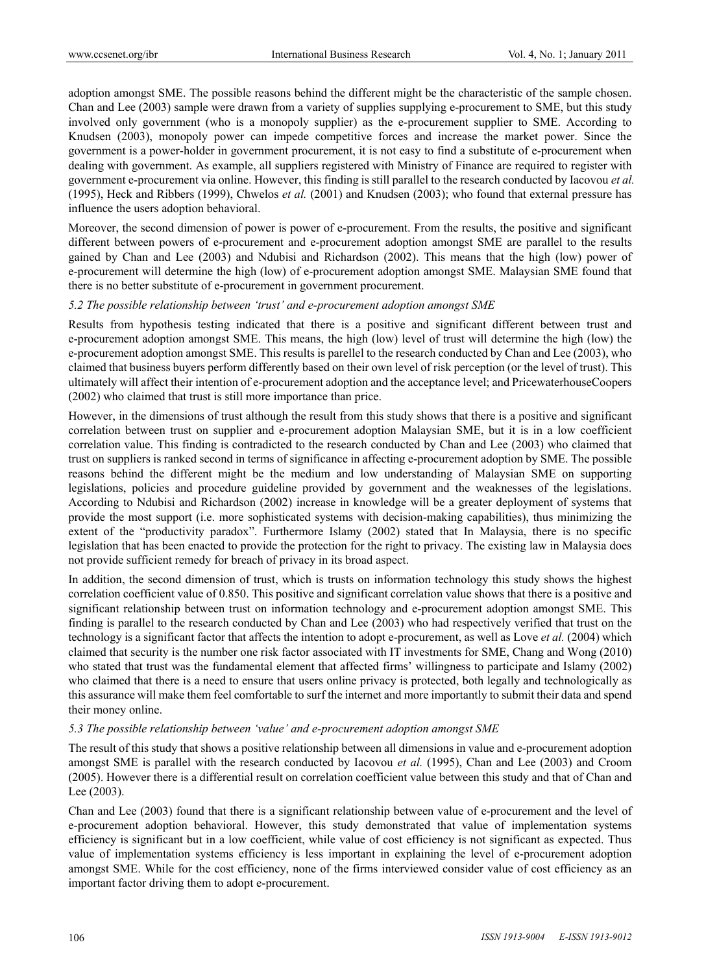adoption amongst SME. The possible reasons behind the different might be the characteristic of the sample chosen. Chan and Lee (2003) sample were drawn from a variety of supplies supplying e-procurement to SME, but this study involved only government (who is a monopoly supplier) as the e-procurement supplier to SME. According to Knudsen (2003), monopoly power can impede competitive forces and increase the market power. Since the government is a power-holder in government procurement, it is not easy to find a substitute of e-procurement when dealing with government. As example, all suppliers registered with Ministry of Finance are required to register with government e-procurement via online. However, this finding is still parallel to the research conducted by Iacovou *et al.* (1995), Heck and Ribbers (1999), Chwelos *et al.* (2001) and Knudsen (2003); who found that external pressure has influence the users adoption behavioral.

Moreover, the second dimension of power is power of e-procurement. From the results, the positive and significant different between powers of e-procurement and e-procurement adoption amongst SME are parallel to the results gained by Chan and Lee (2003) and Ndubisi and Richardson (2002). This means that the high (low) power of e-procurement will determine the high (low) of e-procurement adoption amongst SME. Malaysian SME found that there is no better substitute of e-procurement in government procurement.

#### *5.2 The possible relationship between 'trust' and e-procurement adoption amongst SME*

Results from hypothesis testing indicated that there is a positive and significant different between trust and e-procurement adoption amongst SME. This means, the high (low) level of trust will determine the high (low) the e-procurement adoption amongst SME. This results is parellel to the research conducted by Chan and Lee (2003), who claimed that business buyers perform differently based on their own level of risk perception (or the level of trust). This ultimately will affect their intention of e-procurement adoption and the acceptance level; and PricewaterhouseCoopers (2002) who claimed that trust is still more importance than price.

However, in the dimensions of trust although the result from this study shows that there is a positive and significant correlation between trust on supplier and e-procurement adoption Malaysian SME, but it is in a low coefficient correlation value. This finding is contradicted to the research conducted by Chan and Lee (2003) who claimed that trust on suppliers is ranked second in terms of significance in affecting e-procurement adoption by SME. The possible reasons behind the different might be the medium and low understanding of Malaysian SME on supporting legislations, policies and procedure guideline provided by government and the weaknesses of the legislations. According to Ndubisi and Richardson (2002) increase in knowledge will be a greater deployment of systems that provide the most support (i.e. more sophisticated systems with decision-making capabilities), thus minimizing the extent of the "productivity paradox". Furthermore Islamy (2002) stated that In Malaysia, there is no specific legislation that has been enacted to provide the protection for the right to privacy. The existing law in Malaysia does not provide sufficient remedy for breach of privacy in its broad aspect.

In addition, the second dimension of trust, which is trusts on information technology this study shows the highest correlation coefficient value of 0.850. This positive and significant correlation value shows that there is a positive and significant relationship between trust on information technology and e-procurement adoption amongst SME. This finding is parallel to the research conducted by Chan and Lee (2003) who had respectively verified that trust on the technology is a significant factor that affects the intention to adopt e-procurement, as well as Love *et al.* (2004) which claimed that security is the number one risk factor associated with IT investments for SME, Chang and Wong (2010) who stated that trust was the fundamental element that affected firms' willingness to participate and Islamy (2002) who claimed that there is a need to ensure that users online privacy is protected, both legally and technologically as this assurance will make them feel comfortable to surf the internet and more importantly to submit their data and spend their money online.

#### *5.3 The possible relationship between 'value' and e-procurement adoption amongst SME*

The result of this study that shows a positive relationship between all dimensions in value and e-procurement adoption amongst SME is parallel with the research conducted by Iacovou *et al.* (1995), Chan and Lee (2003) and Croom (2005). However there is a differential result on correlation coefficient value between this study and that of Chan and Lee (2003).

Chan and Lee (2003) found that there is a significant relationship between value of e-procurement and the level of e-procurement adoption behavioral. However, this study demonstrated that value of implementation systems efficiency is significant but in a low coefficient, while value of cost efficiency is not significant as expected. Thus value of implementation systems efficiency is less important in explaining the level of e-procurement adoption amongst SME. While for the cost efficiency, none of the firms interviewed consider value of cost efficiency as an important factor driving them to adopt e-procurement.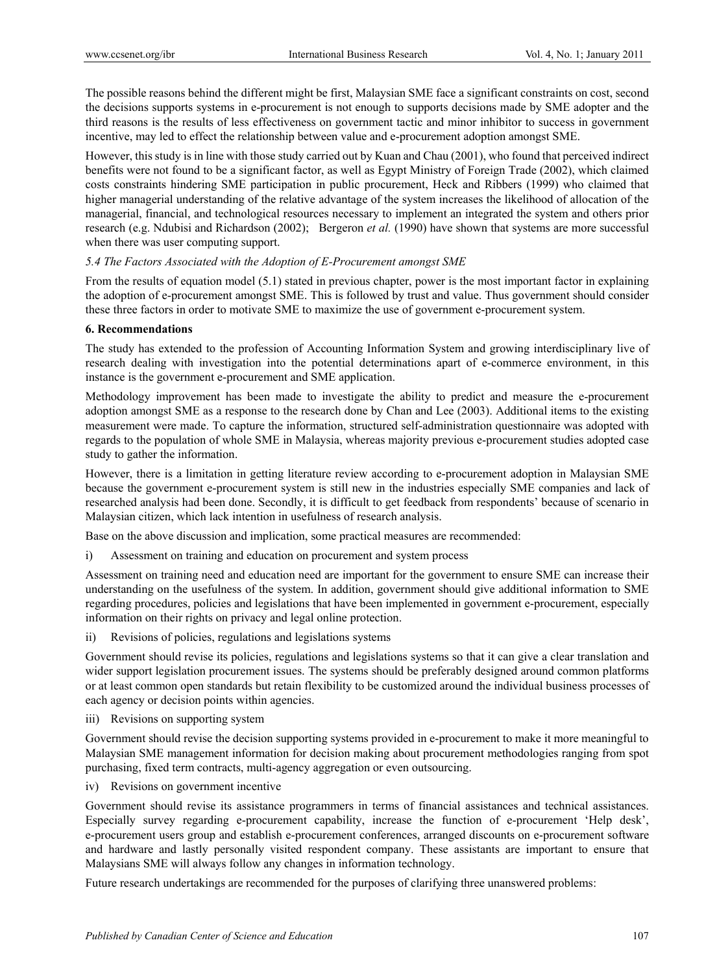The possible reasons behind the different might be first, Malaysian SME face a significant constraints on cost, second the decisions supports systems in e-procurement is not enough to supports decisions made by SME adopter and the third reasons is the results of less effectiveness on government tactic and minor inhibitor to success in government incentive, may led to effect the relationship between value and e-procurement adoption amongst SME.

However, this study is in line with those study carried out by Kuan and Chau (2001), who found that perceived indirect benefits were not found to be a significant factor, as well as Egypt Ministry of Foreign Trade (2002), which claimed costs constraints hindering SME participation in public procurement, Heck and Ribbers (1999) who claimed that higher managerial understanding of the relative advantage of the system increases the likelihood of allocation of the managerial, financial, and technological resources necessary to implement an integrated the system and others prior research (e.g. Ndubisi and Richardson (2002); Bergeron *et al.* (1990) have shown that systems are more successful when there was user computing support.

#### *5.4 The Factors Associated with the Adoption of E-Procurement amongst SME*

From the results of equation model (5.1) stated in previous chapter, power is the most important factor in explaining the adoption of e-procurement amongst SME. This is followed by trust and value. Thus government should consider these three factors in order to motivate SME to maximize the use of government e-procurement system.

#### **6. Recommendations**

The study has extended to the profession of Accounting Information System and growing interdisciplinary live of research dealing with investigation into the potential determinations apart of e-commerce environment, in this instance is the government e-procurement and SME application.

Methodology improvement has been made to investigate the ability to predict and measure the e-procurement adoption amongst SME as a response to the research done by Chan and Lee (2003). Additional items to the existing measurement were made. To capture the information, structured self-administration questionnaire was adopted with regards to the population of whole SME in Malaysia, whereas majority previous e-procurement studies adopted case study to gather the information.

However, there is a limitation in getting literature review according to e-procurement adoption in Malaysian SME because the government e-procurement system is still new in the industries especially SME companies and lack of researched analysis had been done. Secondly, it is difficult to get feedback from respondents' because of scenario in Malaysian citizen, which lack intention in usefulness of research analysis.

Base on the above discussion and implication, some practical measures are recommended:

i) Assessment on training and education on procurement and system process

Assessment on training need and education need are important for the government to ensure SME can increase their understanding on the usefulness of the system. In addition, government should give additional information to SME regarding procedures, policies and legislations that have been implemented in government e-procurement, especially information on their rights on privacy and legal online protection.

ii) Revisions of policies, regulations and legislations systems

Government should revise its policies, regulations and legislations systems so that it can give a clear translation and wider support legislation procurement issues. The systems should be preferably designed around common platforms or at least common open standards but retain flexibility to be customized around the individual business processes of each agency or decision points within agencies.

iii) Revisions on supporting system

Government should revise the decision supporting systems provided in e-procurement to make it more meaningful to Malaysian SME management information for decision making about procurement methodologies ranging from spot purchasing, fixed term contracts, multi-agency aggregation or even outsourcing.

iv) Revisions on government incentive

Government should revise its assistance programmers in terms of financial assistances and technical assistances. Especially survey regarding e-procurement capability, increase the function of e-procurement 'Help desk', e-procurement users group and establish e-procurement conferences, arranged discounts on e-procurement software and hardware and lastly personally visited respondent company. These assistants are important to ensure that Malaysians SME will always follow any changes in information technology.

Future research undertakings are recommended for the purposes of clarifying three unanswered problems: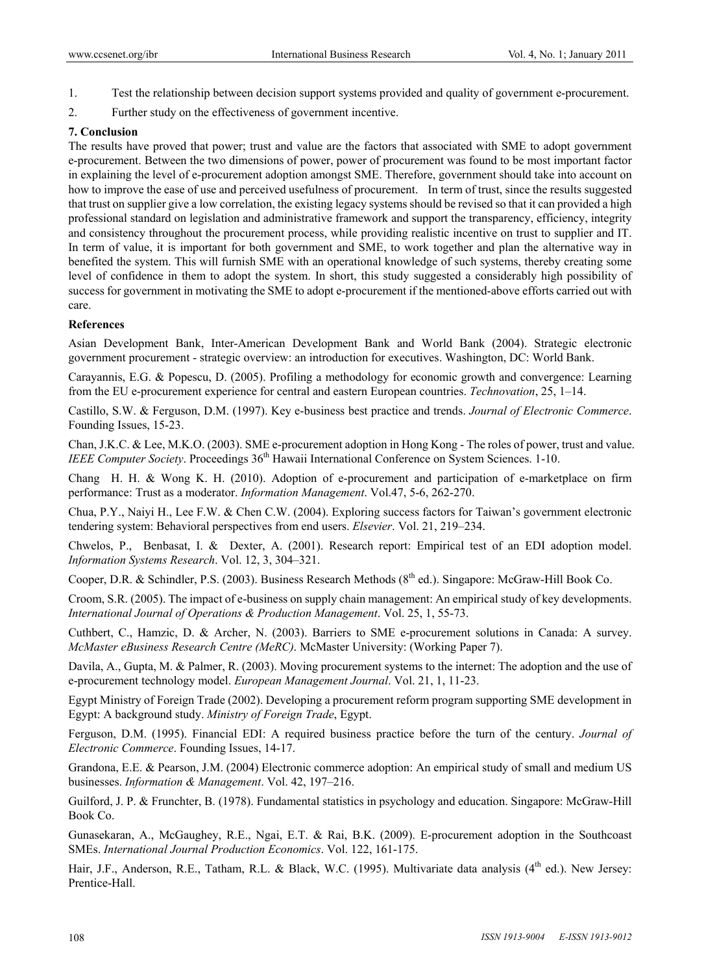- 1. Test the relationship between decision support systems provided and quality of government e-procurement.
- 2. Further study on the effectiveness of government incentive.

# **7. Conclusion**

The results have proved that power; trust and value are the factors that associated with SME to adopt government e-procurement. Between the two dimensions of power, power of procurement was found to be most important factor in explaining the level of e-procurement adoption amongst SME. Therefore, government should take into account on how to improve the ease of use and perceived usefulness of procurement. In term of trust, since the results suggested that trust on supplier give a low correlation, the existing legacy systems should be revised so that it can provided a high professional standard on legislation and administrative framework and support the transparency, efficiency, integrity and consistency throughout the procurement process, while providing realistic incentive on trust to supplier and IT. In term of value, it is important for both government and SME, to work together and plan the alternative way in benefited the system. This will furnish SME with an operational knowledge of such systems, thereby creating some level of confidence in them to adopt the system. In short, this study suggested a considerably high possibility of success for government in motivating the SME to adopt e-procurement if the mentioned-above efforts carried out with care.

# **References**

Asian Development Bank, Inter-American Development Bank and World Bank (2004). Strategic electronic government procurement - strategic overview: an introduction for executives. Washington, DC: World Bank.

Carayannis, E.G. & Popescu, D. (2005). Profiling a methodology for economic growth and convergence: Learning from the EU e-procurement experience for central and eastern European countries. *Technovation*, 25, 1–14.

Castillo, S.W. & Ferguson, D.M. (1997). Key e-business best practice and trends. *Journal of Electronic Commerce*. Founding Issues, 15-23.

Chan, J.K.C. & Lee, M.K.O. (2003). SME e-procurement adoption in Hong Kong - The roles of power, trust and value. *IEEE Computer Society*. Proceedings 36<sup>th</sup> Hawaii International Conference on System Sciences. 1-10.

Chang H. H. & Wong K. H. (2010). Adoption of e-procurement and participation of e-marketplace on firm performance: Trust as a moderator. *Information Management*. Vol.47, 5-6, 262-270.

Chua, P.Y., Naiyi H., Lee F.W. & Chen C.W. (2004). Exploring success factors for Taiwan's government electronic tendering system: Behavioral perspectives from end users. *Elsevier*. Vol. 21, 219–234.

Chwelos, P., Benbasat, I. & Dexter, A. (2001). Research report: Empirical test of an EDI adoption model. *Information Systems Research*. Vol. 12, 3, 304–321.

Cooper, D.R. & Schindler, P.S. (2003). Business Research Methods (8<sup>th</sup> ed.). Singapore: McGraw-Hill Book Co.

Croom, S.R. (2005). The impact of e-business on supply chain management: An empirical study of key developments. *International Journal of Operations & Production Management*. Vol. 25, 1, 55-73.

Cuthbert, C., Hamzic, D. & Archer, N. (2003). Barriers to SME e-procurement solutions in Canada: A survey. *McMaster eBusiness Research Centre (MeRC)*. McMaster University: (Working Paper 7).

Davila, A., Gupta, M. & Palmer, R. (2003). Moving procurement systems to the internet: The adoption and the use of e-procurement technology model. *European Management Journal*. Vol. 21, 1, 11-23.

Egypt Ministry of Foreign Trade (2002). Developing a procurement reform program supporting SME development in Egypt: A background study. *Ministry of Foreign Trade*, Egypt.

Ferguson, D.M. (1995). Financial EDI: A required business practice before the turn of the century. *Journal of Electronic Commerce*. Founding Issues, 14-17.

Grandona, E.E. & Pearson, J.M. (2004) Electronic commerce adoption: An empirical study of small and medium US businesses. *Information & Management*. Vol. 42, 197–216.

Guilford, J. P. & Frunchter, B. (1978). Fundamental statistics in psychology and education. Singapore: McGraw-Hill Book Co.

Gunasekaran, A., McGaughey, R.E., Ngai, E.T. & Rai, B.K. (2009). E-procurement adoption in the Southcoast SMEs. *International Journal Production Economics*. Vol. 122, 161-175.

Hair, J.F., Anderson, R.E., Tatham, R.L. & Black, W.C. (1995). Multivariate data analysis (4<sup>th</sup> ed.). New Jersey: Prentice-Hall.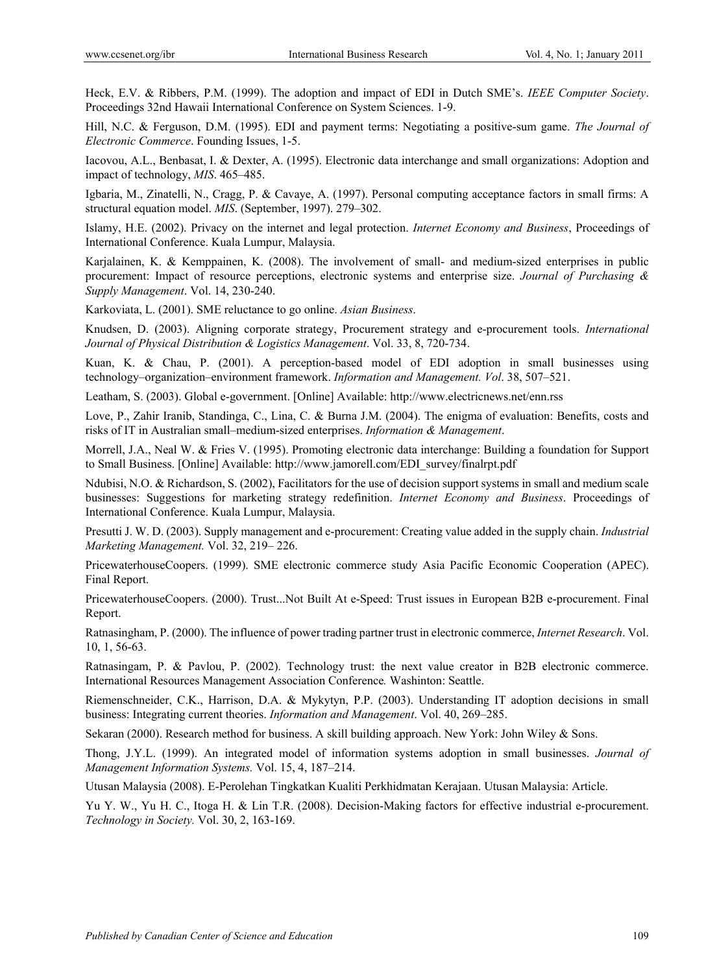Heck, E.V. & Ribbers, P.M. (1999). The adoption and impact of EDI in Dutch SME's. *IEEE Computer Society*. Proceedings 32nd Hawaii International Conference on System Sciences. 1-9.

Hill, N.C. & Ferguson, D.M. (1995). EDI and payment terms: Negotiating a positive-sum game. *The Journal of Electronic Commerce*. Founding Issues, 1-5.

Iacovou, A.L., Benbasat, I. & Dexter, A. (1995). Electronic data interchange and small organizations: Adoption and impact of technology, *MIS*. 465–485.

Igbaria, M., Zinatelli, N., Cragg, P. & Cavaye, A. (1997). Personal computing acceptance factors in small firms: A structural equation model. *MIS*. (September, 1997). 279–302.

Islamy, H.E. (2002). Privacy on the internet and legal protection. *Internet Economy and Business*, Proceedings of International Conference. Kuala Lumpur, Malaysia.

Karjalainen, K. & Kemppainen, K. (2008). The involvement of small- and medium-sized enterprises in public procurement: Impact of resource perceptions, electronic systems and enterprise size. *Journal of Purchasing & Supply Management*. Vol. 14, 230-240.

Karkoviata, L. (2001). SME reluctance to go online. *Asian Business*.

Knudsen, D. (2003). Aligning corporate strategy, Procurement strategy and e-procurement tools. *International Journal of Physical Distribution & Logistics Management*. Vol. 33, 8, 720-734.

Kuan, K. & Chau, P. (2001). A perception-based model of EDI adoption in small businesses using technology–organization–environment framework. *Information and Management. Vol*. 38, 507–521.

Leatham, S. (2003). Global e-government. [Online] Available: http://www.electricnews.net/enn.rss

Love, P., Zahir Iranib, Standinga, C., Lina, C. & Burna J.M. (2004). The enigma of evaluation: Benefits, costs and risks of IT in Australian small–medium-sized enterprises. *Information & Management*.

Morrell, J.A., Neal W. & Fries V. (1995). Promoting electronic data interchange: Building a foundation for Support to Small Business. [Online] Available: http://www.jamorell.com/EDI\_survey/finalrpt.pdf

Ndubisi, N.O. & Richardson, S. (2002), Facilitators for the use of decision support systems in small and medium scale businesses: Suggestions for marketing strategy redefinition. *Internet Economy and Business*. Proceedings of International Conference. Kuala Lumpur, Malaysia.

Presutti J. W. D. (2003). Supply management and e-procurement: Creating value added in the supply chain. *Industrial Marketing Management.* Vol. 32, 219– 226.

PricewaterhouseCoopers. (1999). SME electronic commerce study Asia Pacific Economic Cooperation (APEC). Final Report.

PricewaterhouseCoopers. (2000). Trust...Not Built At e-Speed: Trust issues in European B2B e-procurement. Final Report.

Ratnasingham, P. (2000). The influence of power trading partner trust in electronic commerce, *Internet Research*. Vol. 10, 1, 56-63.

Ratnasingam, P. & Pavlou, P. (2002). Technology trust: the next value creator in B2B electronic commerce. International Resources Management Association Conference*.* Washinton: Seattle.

Riemenschneider, C.K., Harrison, D.A. & Mykytyn, P.P. (2003). Understanding IT adoption decisions in small business: Integrating current theories. *Information and Management*. Vol. 40, 269–285.

Sekaran (2000). Research method for business. A skill building approach. New York: John Wiley & Sons.

Thong, J.Y.L. (1999). An integrated model of information systems adoption in small businesses. *Journal of Management Information Systems.* Vol. 15, 4, 187–214.

Utusan Malaysia (2008). E-Perolehan Tingkatkan Kualiti Perkhidmatan Kerajaan. Utusan Malaysia: Article.

Yu Y. W., Yu H. C., Itoga H. & Lin T.R. (2008). Decision-Making factors for effective industrial e-procurement. *Technology in Society.* Vol. 30, 2, 163-169.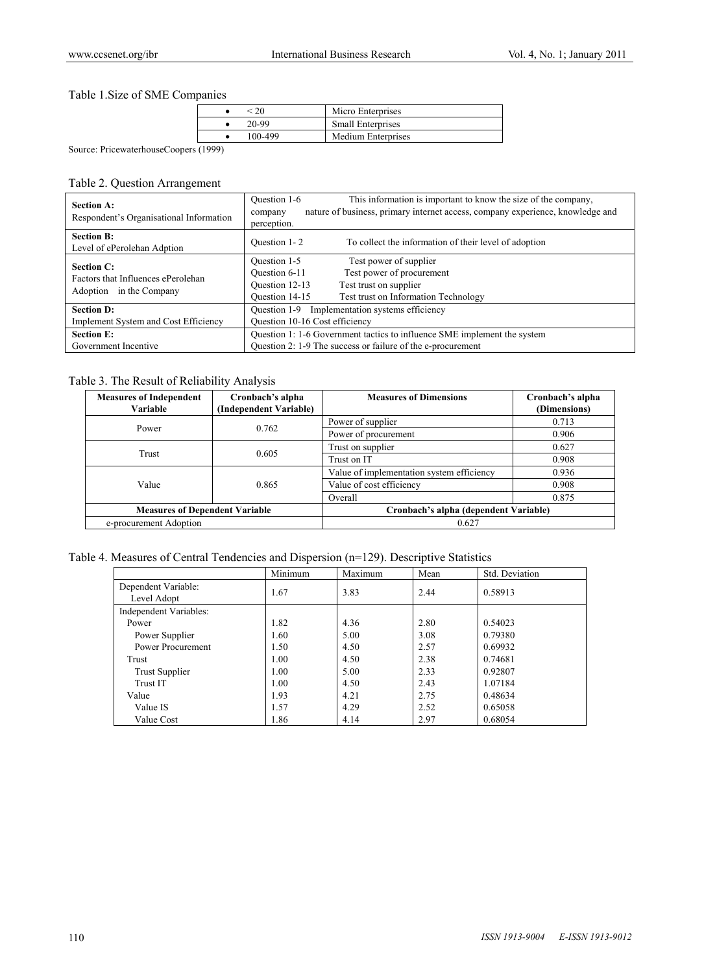Table 1.Size of SME Companies

|  |         | Micro Enterprises        |
|--|---------|--------------------------|
|  | 20-99   | <b>Small Enterprises</b> |
|  | 100-499 | Medium Enterprises       |

Source: PricewaterhouseCoopers (1999)

# Table 2. Question Arrangement

| <b>Section A:</b><br>Respondent's Organisational Information                       | This information is important to know the size of the company,<br>Ouestion 1-6<br>nature of business, primary internet access, company experience, knowledge and<br>company<br>perception. |  |  |  |
|------------------------------------------------------------------------------------|--------------------------------------------------------------------------------------------------------------------------------------------------------------------------------------------|--|--|--|
| <b>Section B:</b><br>Level of ePerolehan Adption                                   | Question 1-2<br>To collect the information of their level of adoption                                                                                                                      |  |  |  |
| <b>Section C:</b><br>Factors that Influences ePerolehan<br>Adoption in the Company | Ouestion 1-5<br>Test power of supplier<br>Test power of procurement<br>Question 6-11<br>Ouestion 12-13<br>Test trust on supplier<br>Test trust on Information Technology<br>Ouestion 14-15 |  |  |  |
| <b>Section D:</b><br>Implement System and Cost Efficiency                          | Implementation systems efficiency<br>Ouestion 1-9<br>Question 10-16 Cost efficiency                                                                                                        |  |  |  |
| <b>Section E:</b><br>Government Incentive                                          | Question 1: 1-6 Government tactics to influence SME implement the system<br>Question 2: 1-9 The success or failure of the e-procurement                                                    |  |  |  |

# Table 3. The Result of Reliability Analysis

| <b>Measures of Independent</b><br>Variable | Cronbach's alpha<br>(Independent Variable) | <b>Measures of Dimensions</b>             | Cronbach's alpha<br>(Dimensions) |  |
|--------------------------------------------|--------------------------------------------|-------------------------------------------|----------------------------------|--|
|                                            |                                            | Power of supplier                         | 0.713                            |  |
| Power                                      | 0.762                                      | Power of procurement                      | 0.906                            |  |
|                                            |                                            | Trust on supplier                         | 0.627                            |  |
| Trust                                      | 0.605                                      | Trust on IT                               | 0.908                            |  |
|                                            |                                            | Value of implementation system efficiency | 0.936                            |  |
| Value                                      | 0.865                                      | Value of cost efficiency                  | 0.908                            |  |
|                                            |                                            | Overall                                   | 0.875                            |  |
| <b>Measures of Dependent Variable</b>      |                                            | Cronbach's alpha (dependent Variable)     |                                  |  |
| e-procurement Adoption                     |                                            | 0.627                                     |                                  |  |

# Table 4. Measures of Central Tendencies and Dispersion (n=129). Descriptive Statistics

|                               | Minimum | Maximum | Mean | Std. Deviation |
|-------------------------------|---------|---------|------|----------------|
| Dependent Variable:           | 1.67    | 3.83    | 2.44 | 0.58913        |
| Level Adopt                   |         |         |      |                |
| <b>Independent Variables:</b> |         |         |      |                |
| Power                         | 1.82    | 4.36    | 2.80 | 0.54023        |
| Power Supplier                | 1.60    | 5.00    | 3.08 | 0.79380        |
| <b>Power Procurement</b>      | 1.50    | 4.50    | 2.57 | 0.69932        |
| Trust                         | 1.00    | 4.50    | 2.38 | 0.74681        |
| <b>Trust Supplier</b>         | 1.00    | 5.00    | 2.33 | 0.92807        |
| Trust IT                      | 1.00    | 4.50    | 2.43 | 1.07184        |
| Value                         | 1.93    | 4.21    | 2.75 | 0.48634        |
| Value IS                      | 1.57    | 4.29    | 2.52 | 0.65058        |
| Value Cost                    | 1.86    | 4.14    | 2.97 | 0.68054        |